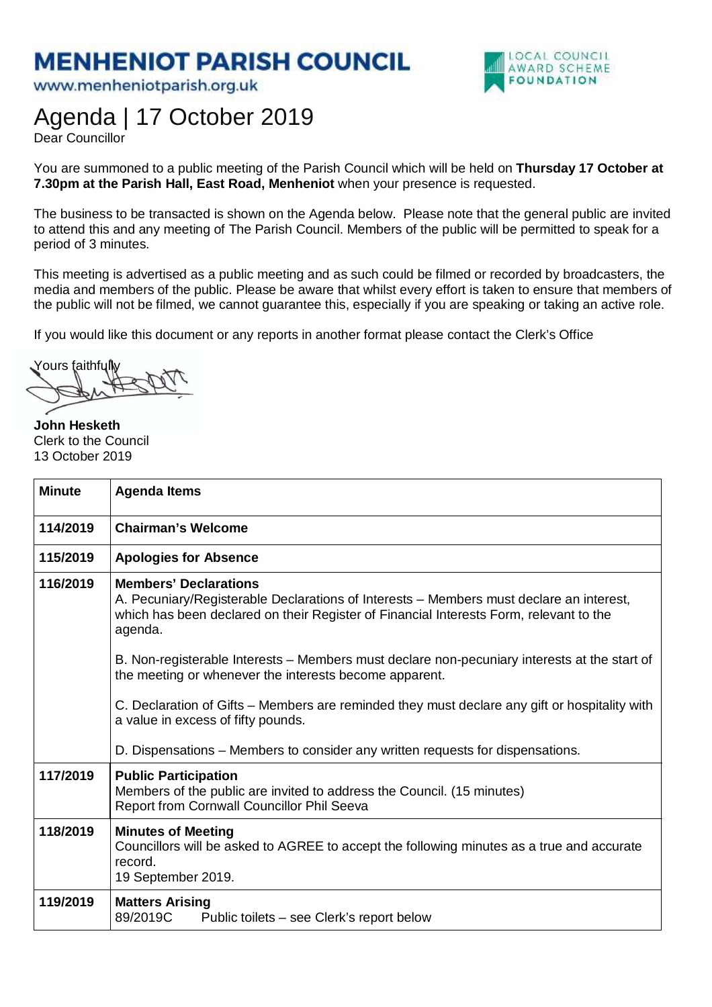## **MENHENIOT PARISH COUNCIL**

www.menheniotparish.org.uk



## Agenda | 17 October 2019

Dear Councillor

You are summoned to a public meeting of the Parish Council which will be held on **Thursday 17 October at 7.30pm at the Parish Hall, East Road, Menheniot** when your presence is requested.

The business to be transacted is shown on the Agenda below. Please note that the general public are invited to attend this and any meeting of The Parish Council. Members of the public will be permitted to speak for a period of 3 minutes.

This meeting is advertised as a public meeting and as such could be filmed or recorded by broadcasters, the media and members of the public. Please be aware that whilst every effort is taken to ensure that members of the public will not be filmed, we cannot guarantee this, especially if you are speaking or taking an active role.

If you would like this document or any reports in another format please contact the Clerk's Office

Yours faithfully

**John Hesketh**  Clerk to the Council 13 October 2019

| <b>Minute</b> | <b>Agenda Items</b>                                                                                                                                                                                                                                                                                                                                                                    |
|---------------|----------------------------------------------------------------------------------------------------------------------------------------------------------------------------------------------------------------------------------------------------------------------------------------------------------------------------------------------------------------------------------------|
| 114/2019      | <b>Chairman's Welcome</b>                                                                                                                                                                                                                                                                                                                                                              |
| 115/2019      | <b>Apologies for Absence</b>                                                                                                                                                                                                                                                                                                                                                           |
| 116/2019      | <b>Members' Declarations</b><br>A. Pecuniary/Registerable Declarations of Interests – Members must declare an interest,<br>which has been declared on their Register of Financial Interests Form, relevant to the<br>agenda.<br>B. Non-registerable Interests – Members must declare non-pecuniary interests at the start of<br>the meeting or whenever the interests become apparent. |
|               | C. Declaration of Gifts – Members are reminded they must declare any gift or hospitality with<br>a value in excess of fifty pounds.<br>D. Dispensations – Members to consider any written requests for dispensations.                                                                                                                                                                  |
| 117/2019      | <b>Public Participation</b><br>Members of the public are invited to address the Council. (15 minutes)<br>Report from Cornwall Councillor Phil Seeva                                                                                                                                                                                                                                    |
| 118/2019      | <b>Minutes of Meeting</b><br>Councillors will be asked to AGREE to accept the following minutes as a true and accurate<br>record.<br>19 September 2019.                                                                                                                                                                                                                                |
| 119/2019      | <b>Matters Arising</b><br>89/2019C<br>Public toilets – see Clerk's report below                                                                                                                                                                                                                                                                                                        |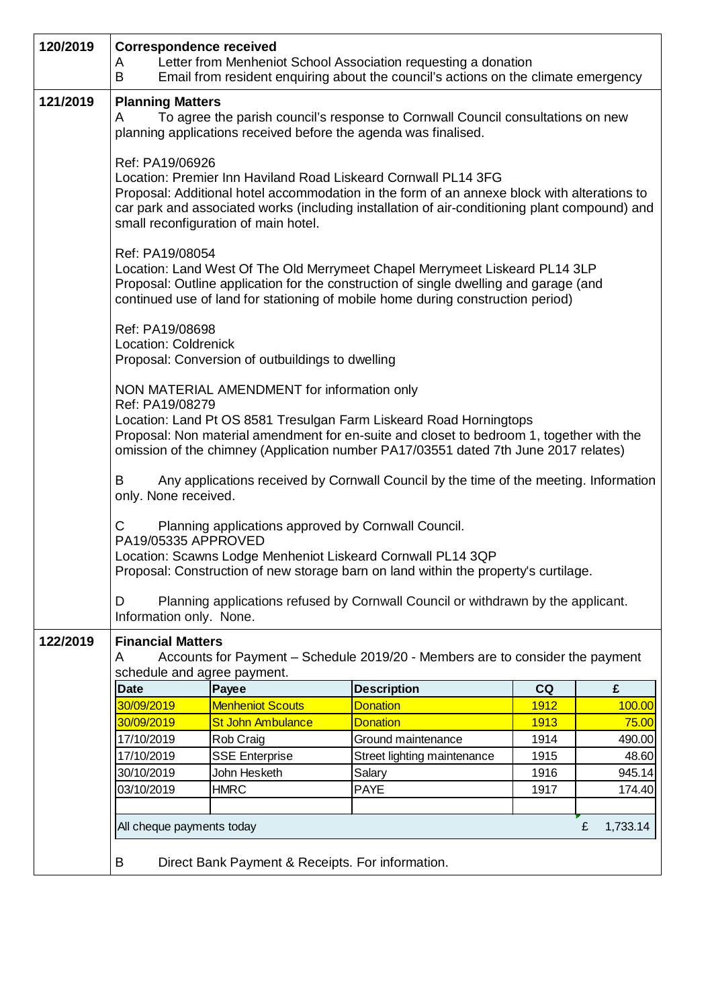| 120/2019 | <b>Correspondence received</b><br>A<br>B                                                                                                                                                                                                                                                                                      |                                                                                                                                                                                                                                                         | Letter from Menheniot School Association requesting a donation<br>Email from resident enquiring about the council's actions on the climate emergency |              |                  |  |  |
|----------|-------------------------------------------------------------------------------------------------------------------------------------------------------------------------------------------------------------------------------------------------------------------------------------------------------------------------------|---------------------------------------------------------------------------------------------------------------------------------------------------------------------------------------------------------------------------------------------------------|------------------------------------------------------------------------------------------------------------------------------------------------------|--------------|------------------|--|--|
| 121/2019 | <b>Planning Matters</b><br>To agree the parish council's response to Cornwall Council consultations on new<br>A<br>planning applications received before the agenda was finalised.                                                                                                                                            |                                                                                                                                                                                                                                                         |                                                                                                                                                      |              |                  |  |  |
|          | Ref: PA19/06926<br>Location: Premier Inn Haviland Road Liskeard Cornwall PL14 3FG<br>Proposal: Additional hotel accommodation in the form of an annexe block with alterations to<br>car park and associated works (including installation of air-conditioning plant compound) and<br>small reconfiguration of main hotel.     |                                                                                                                                                                                                                                                         |                                                                                                                                                      |              |                  |  |  |
|          | Ref: PA19/08054                                                                                                                                                                                                                                                                                                               | Location: Land West Of The Old Merrymeet Chapel Merrymeet Liskeard PL14 3LP<br>Proposal: Outline application for the construction of single dwelling and garage (and<br>continued use of land for stationing of mobile home during construction period) |                                                                                                                                                      |              |                  |  |  |
|          | Ref: PA19/08698<br>Location: Coldrenick<br>Proposal: Conversion of outbuildings to dwelling                                                                                                                                                                                                                                   |                                                                                                                                                                                                                                                         |                                                                                                                                                      |              |                  |  |  |
|          | NON MATERIAL AMENDMENT for information only<br>Ref: PA19/08279<br>Location: Land Pt OS 8581 Tresulgan Farm Liskeard Road Horningtops<br>Proposal: Non material amendment for en-suite and closet to bedroom 1, together with the<br>omission of the chimney (Application number PA17/03551 dated 7th June 2017 relates)       |                                                                                                                                                                                                                                                         |                                                                                                                                                      |              |                  |  |  |
|          | Any applications received by Cornwall Council by the time of the meeting. Information<br>B<br>only. None received.                                                                                                                                                                                                            |                                                                                                                                                                                                                                                         |                                                                                                                                                      |              |                  |  |  |
|          | Planning applications approved by Cornwall Council.<br>C<br>PA19/05335 APPROVED<br>Location: Scawns Lodge Menheniot Liskeard Cornwall PL14 3QP<br>Proposal: Construction of new storage barn on land within the property's curtilage<br>Planning applications refused by Cornwall Council or withdrawn by the applicant.<br>D |                                                                                                                                                                                                                                                         |                                                                                                                                                      |              |                  |  |  |
|          | Information only. None.                                                                                                                                                                                                                                                                                                       |                                                                                                                                                                                                                                                         |                                                                                                                                                      |              |                  |  |  |
| 122/2019 | <b>Financial Matters</b><br>Accounts for Payment - Schedule 2019/20 - Members are to consider the payment<br>A<br>schedule and agree payment.                                                                                                                                                                                 |                                                                                                                                                                                                                                                         |                                                                                                                                                      |              |                  |  |  |
|          | <b>Date</b>                                                                                                                                                                                                                                                                                                                   | Payee                                                                                                                                                                                                                                                   | <b>Description</b>                                                                                                                                   | CQ           | £                |  |  |
|          | 30/09/2019                                                                                                                                                                                                                                                                                                                    | <b>Menheniot Scouts</b>                                                                                                                                                                                                                                 | <b>Donation</b>                                                                                                                                      | 1912         | 100.00           |  |  |
|          | 30/09/2019                                                                                                                                                                                                                                                                                                                    | <b>St John Ambulance</b>                                                                                                                                                                                                                                | <b>Donation</b>                                                                                                                                      | 1913         | 75.00            |  |  |
|          | 17/10/2019                                                                                                                                                                                                                                                                                                                    | Rob Craig                                                                                                                                                                                                                                               | Ground maintenance                                                                                                                                   | 1914         | 490.00           |  |  |
|          | 17/10/2019                                                                                                                                                                                                                                                                                                                    | <b>SSE Enterprise</b>                                                                                                                                                                                                                                   | Street lighting maintenance                                                                                                                          | 1915         | 48.60            |  |  |
|          | 30/10/2019<br>03/10/2019                                                                                                                                                                                                                                                                                                      | John Hesketh<br><b>HMRC</b>                                                                                                                                                                                                                             | Salary<br><b>PAYE</b>                                                                                                                                | 1916<br>1917 | 945.14<br>174.40 |  |  |
|          |                                                                                                                                                                                                                                                                                                                               |                                                                                                                                                                                                                                                         |                                                                                                                                                      |              |                  |  |  |
|          | £<br>All cheque payments today<br>1,733.14                                                                                                                                                                                                                                                                                    |                                                                                                                                                                                                                                                         |                                                                                                                                                      |              |                  |  |  |
|          | B                                                                                                                                                                                                                                                                                                                             | Direct Bank Payment & Receipts. For information.                                                                                                                                                                                                        |                                                                                                                                                      |              |                  |  |  |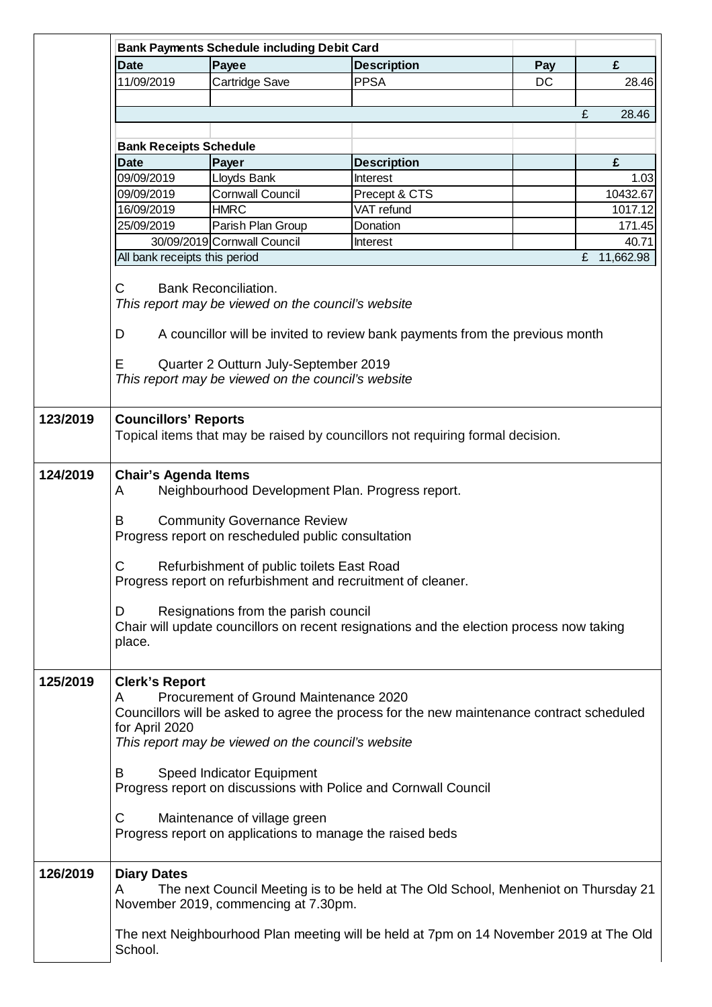|          | <b>Bank Payments Schedule including Debit Card</b>                                                                                                                                                                                                                                                                                                                                                                                                         |                                                                                                                                                           |                                                                                                                                                                                                                           |     |                |  |  |
|----------|------------------------------------------------------------------------------------------------------------------------------------------------------------------------------------------------------------------------------------------------------------------------------------------------------------------------------------------------------------------------------------------------------------------------------------------------------------|-----------------------------------------------------------------------------------------------------------------------------------------------------------|---------------------------------------------------------------------------------------------------------------------------------------------------------------------------------------------------------------------------|-----|----------------|--|--|
|          | <b>Date</b>                                                                                                                                                                                                                                                                                                                                                                                                                                                | Payee                                                                                                                                                     | <b>Description</b>                                                                                                                                                                                                        | Pay | £              |  |  |
|          | 11/09/2019                                                                                                                                                                                                                                                                                                                                                                                                                                                 | Cartridge Save                                                                                                                                            | <b>PPSA</b>                                                                                                                                                                                                               | DC  | 28.46          |  |  |
|          |                                                                                                                                                                                                                                                                                                                                                                                                                                                            |                                                                                                                                                           |                                                                                                                                                                                                                           |     |                |  |  |
|          |                                                                                                                                                                                                                                                                                                                                                                                                                                                            |                                                                                                                                                           |                                                                                                                                                                                                                           |     | £<br>28.46     |  |  |
|          |                                                                                                                                                                                                                                                                                                                                                                                                                                                            |                                                                                                                                                           |                                                                                                                                                                                                                           |     |                |  |  |
|          | <b>Bank Receipts Schedule</b>                                                                                                                                                                                                                                                                                                                                                                                                                              |                                                                                                                                                           |                                                                                                                                                                                                                           |     |                |  |  |
|          | <b>Date</b>                                                                                                                                                                                                                                                                                                                                                                                                                                                | Payer                                                                                                                                                     | <b>Description</b>                                                                                                                                                                                                        |     | £              |  |  |
|          | 09/09/2019                                                                                                                                                                                                                                                                                                                                                                                                                                                 | Lloyds Bank                                                                                                                                               | Interest                                                                                                                                                                                                                  |     | 1.03           |  |  |
|          | 09/09/2019                                                                                                                                                                                                                                                                                                                                                                                                                                                 | <b>Cornwall Council</b>                                                                                                                                   | Precept & CTS                                                                                                                                                                                                             |     | 10432.67       |  |  |
|          | 16/09/2019                                                                                                                                                                                                                                                                                                                                                                                                                                                 | <b>HMRC</b>                                                                                                                                               | VAT refund                                                                                                                                                                                                                |     | 1017.12        |  |  |
|          | 25/09/2019                                                                                                                                                                                                                                                                                                                                                                                                                                                 | Parish Plan Group                                                                                                                                         | Donation                                                                                                                                                                                                                  |     | 171.45         |  |  |
|          |                                                                                                                                                                                                                                                                                                                                                                                                                                                            | 30/09/2019 Cornwall Council                                                                                                                               | Interest                                                                                                                                                                                                                  |     | 40.71          |  |  |
|          | All bank receipts this period                                                                                                                                                                                                                                                                                                                                                                                                                              |                                                                                                                                                           |                                                                                                                                                                                                                           |     | 11,662.98<br>£ |  |  |
|          | С<br><b>Bank Reconciliation.</b><br>This report may be viewed on the council's website<br>D<br>A councillor will be invited to review bank payments from the previous month<br>Quarter 2 Outturn July-September 2019<br>Ε<br>This report may be viewed on the council's website                                                                                                                                                                            |                                                                                                                                                           |                                                                                                                                                                                                                           |     |                |  |  |
| 123/2019 | <b>Councillors' Reports</b><br>Topical items that may be raised by councillors not requiring formal decision.                                                                                                                                                                                                                                                                                                                                              |                                                                                                                                                           |                                                                                                                                                                                                                           |     |                |  |  |
| 124/2019 | <b>Chair's Agenda Items</b><br>Neighbourhood Development Plan. Progress report.<br>A<br><b>Community Governance Review</b><br>B<br>Progress report on rescheduled public consultation<br>С<br>Refurbishment of public toilets East Road<br>Progress report on refurbishment and recruitment of cleaner.<br>Resignations from the parish council<br>D<br>Chair will update councillors on recent resignations and the election process now taking<br>place. |                                                                                                                                                           |                                                                                                                                                                                                                           |     |                |  |  |
| 125/2019 | <b>Clerk's Report</b><br>A<br>for April 2020<br>B<br>C                                                                                                                                                                                                                                                                                                                                                                                                     | Procurement of Ground Maintenance 2020<br>This report may be viewed on the council's website<br>Speed Indicator Equipment<br>Maintenance of village green | Councillors will be asked to agree the process for the new maintenance contract scheduled<br>Progress report on discussions with Police and Cornwall Council<br>Progress report on applications to manage the raised beds |     |                |  |  |
| 126/2019 | <b>Diary Dates</b><br>A<br>School.                                                                                                                                                                                                                                                                                                                                                                                                                         | November 2019, commencing at 7.30pm.                                                                                                                      | The next Council Meeting is to be held at The Old School, Menheniot on Thursday 21<br>The next Neighbourhood Plan meeting will be held at 7pm on 14 November 2019 at The Old                                              |     |                |  |  |